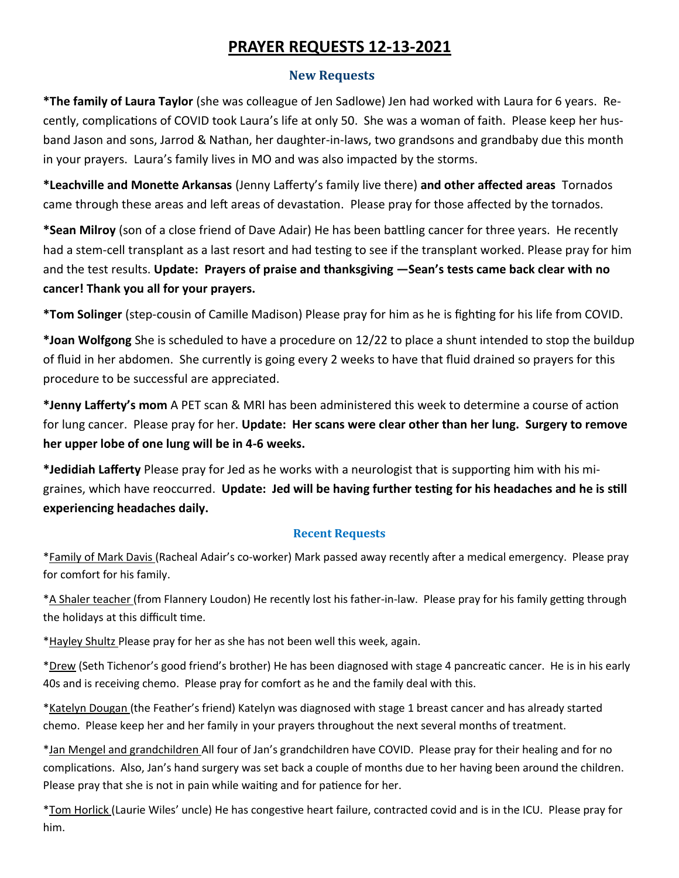# **PRAYER REQUESTS 12-13-2021**

#### **New Requests**

**\*The family of Laura Taylor** (she was colleague of Jen Sadlowe) Jen had worked with Laura for 6 years. Recently, complications of COVID took Laura's life at only 50. She was a woman of faith. Please keep her husband Jason and sons, Jarrod & Nathan, her daughter-in-laws, two grandsons and grandbaby due this month in your prayers. Laura's family lives in MO and was also impacted by the storms.

**\*Leachville and Monette Arkansas** (Jenny Lafferty's family live there) **and other affected areas** Tornados came through these areas and left areas of devastation. Please pray for those affected by the tornados.

**\*Sean Milroy** (son of a close friend of Dave Adair) He has been battling cancer for three years. He recently had a stem-cell transplant as a last resort and had testing to see if the transplant worked. Please pray for him and the test results. **Update: Prayers of praise and thanksgiving —Sean's tests came back clear with no cancer! Thank you all for your prayers.** 

**\*Tom Solinger** (step-cousin of Camille Madison) Please pray for him as he is fighting for his life from COVID.

**\*Joan Wolfgong** She is scheduled to have a procedure on 12/22 to place a shunt intended to stop the buildup of fluid in her abdomen. She currently is going every 2 weeks to have that fluid drained so prayers for this procedure to be successful are appreciated.

**\*Jenny Lafferty's mom** A PET scan & MRI has been administered this week to determine a course of action for lung cancer. Please pray for her. **Update: Her scans were clear other than her lung. Surgery to remove her upper lobe of one lung will be in 4-6 weeks.**

**\*Jedidiah Lafferty** Please pray for Jed as he works with a neurologist that is supporting him with his migraines, which have reoccurred. **Update: Jed will be having further testing for his headaches and he is still experiencing headaches daily.**

### **Recent Requests**

\*Family of Mark Davis (Racheal Adair's co-worker) Mark passed away recently after a medical emergency. Please pray for comfort for his family.

\*A Shaler teacher (from Flannery Loudon) He recently lost his father-in-law. Please pray for his family getting through the holidays at this difficult time.

\*Hayley Shultz Please pray for her as she has not been well this week, again.

\*Drew (Seth Tichenor's good friend's brother) He has been diagnosed with stage 4 pancreatic cancer. He is in his early 40s and is receiving chemo. Please pray for comfort as he and the family deal with this.

\*Katelyn Dougan (the Feather's friend) Katelyn was diagnosed with stage 1 breast cancer and has already started chemo. Please keep her and her family in your prayers throughout the next several months of treatment.

\*Jan Mengel and grandchildren All four of Jan's grandchildren have COVID. Please pray for their healing and for no complications. Also, Jan's hand surgery was set back a couple of months due to her having been around the children. Please pray that she is not in pain while waiting and for patience for her.

\*Tom Horlick (Laurie Wiles' uncle) He has congestive heart failure, contracted covid and is in the ICU. Please pray for him.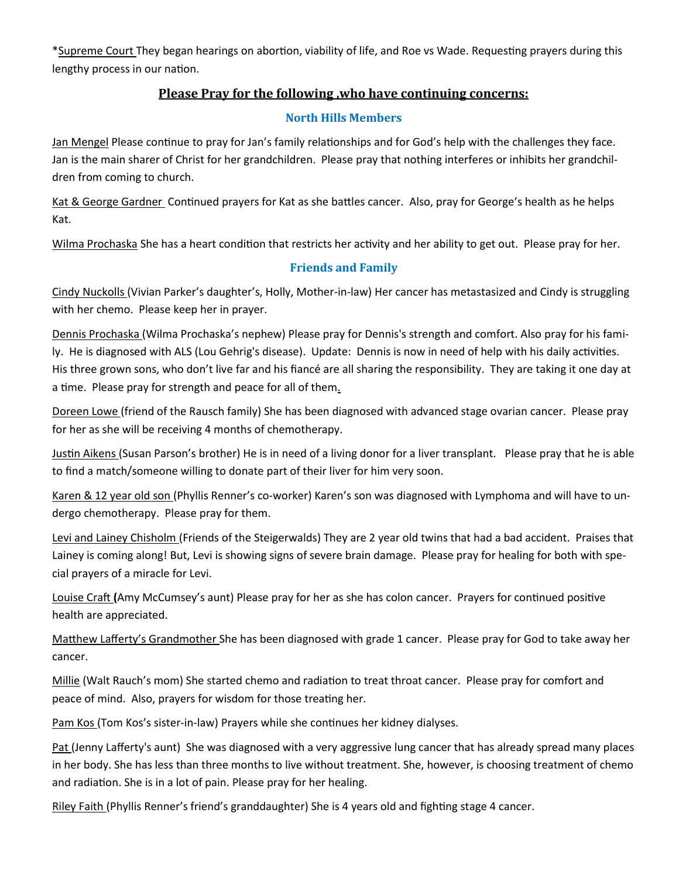\*Supreme Court They began hearings on abortion, viability of life, and Roe vs Wade. Requesting prayers during this lengthy process in our nation.

## **Please Pray for the following ,who have continuing concerns:**

#### **North Hills Members**

Jan Mengel Please continue to pray for Jan's family relationships and for God's help with the challenges they face. Jan is the main sharer of Christ for her grandchildren. Please pray that nothing interferes or inhibits her grandchildren from coming to church.

Kat & George Gardner Continued prayers for Kat as she battles cancer. Also, pray for George's health as he helps Kat.

Wilma Prochaska She has a heart condition that restricts her activity and her ability to get out. Please pray for her.

# **Friends and Family**

Cindy Nuckolls (Vivian Parker's daughter's, Holly, Mother-in-law) Her cancer has metastasized and Cindy is struggling with her chemo. Please keep her in prayer.

Dennis Prochaska (Wilma Prochaska's nephew) Please pray for Dennis's strength and comfort. Also pray for his family. He is diagnosed with ALS (Lou Gehrig's disease). Update: Dennis is now in need of help with his daily activities. His three grown sons, who don't live far and his fiancé are all sharing the responsibility. They are taking it one day at a time. Please pray for strength and peace for all of them.

Doreen Lowe (friend of the Rausch family) She has been diagnosed with advanced stage ovarian cancer. Please pray for her as she will be receiving 4 months of chemotherapy.

Justin Aikens (Susan Parson's brother) He is in need of a living donor for a liver transplant. Please pray that he is able to find a match/someone willing to donate part of their liver for him very soon.

Karen & 12 year old son (Phyllis Renner's co-worker) Karen's son was diagnosed with Lymphoma and will have to undergo chemotherapy. Please pray for them.

Levi and Lainey Chisholm (Friends of the Steigerwalds) They are 2 year old twins that had a bad accident. Praises that Lainey is coming along! But, Levi is showing signs of severe brain damage. Please pray for healing for both with special prayers of a miracle for Levi.

Louise Craft **(**Amy McCumsey's aunt) Please pray for her as she has colon cancer. Prayers for continued positive health are appreciated.

Matthew Lafferty's Grandmother She has been diagnosed with grade 1 cancer. Please pray for God to take away her cancer.

Millie (Walt Rauch's mom) She started chemo and radiation to treat throat cancer. Please pray for comfort and peace of mind. Also, prayers for wisdom for those treating her.

Pam Kos (Tom Kos's sister-in-law) Prayers while she continues her kidney dialyses.

Pat (Jenny Lafferty's aunt) She was diagnosed with a very aggressive lung cancer that has already spread many places in her body. She has less than three months to live without treatment. She, however, is choosing treatment of chemo and radiation. She is in a lot of pain. Please pray for her healing.

Riley Faith (Phyllis Renner's friend's granddaughter) She is 4 years old and fighting stage 4 cancer.